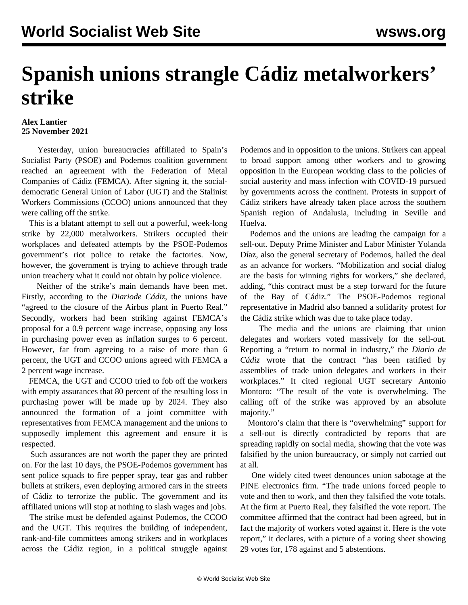## **Spanish unions strangle Cádiz metalworkers' strike**

## **Alex Lantier 25 November 2021**

 Yesterday, union bureaucracies affiliated to Spain's Socialist Party (PSOE) and Podemos coalition government reached an agreement with the Federation of Metal Companies of Cádiz (FEMCA). After signing it, the socialdemocratic General Union of Labor (UGT) and the Stalinist Workers Commissions (CCOO) unions announced that they were calling off the strike.

 This is a blatant attempt to sell out a powerful, week-long strike by 22,000 metalworkers. Strikers occupied their workplaces and defeated attempts by the PSOE-Podemos government's riot police to retake the factories. Now, however, the government is trying to achieve through trade union treachery what it could not obtain by police violence.

 Neither of the strike's main demands have been met. Firstly, according to the *Diariode Cádiz*, the unions have "agreed to the closure of the Airbus plant in Puerto Real." Secondly, workers had been striking against FEMCA's proposal for a 0.9 percent wage increase, opposing any loss in purchasing power even as inflation surges to 6 percent. However, far from agreeing to a raise of more than 6 percent, the UGT and CCOO unions agreed with FEMCA a 2 percent wage increase.

 FEMCA, the UGT and CCOO tried to fob off the workers with empty assurances that 80 percent of the resulting loss in purchasing power will be made up by 2024. They also announced the formation of a joint committee with representatives from FEMCA management and the unions to supposedly implement this agreement and ensure it is respected.

 Such assurances are not worth the paper they are printed on. For the last 10 days, the PSOE-Podemos government has sent police squads to fire pepper spray, tear gas and rubber bullets at strikers, even deploying armored cars in the streets of Cádiz to terrorize the public. The government and its affiliated unions will stop at nothing to slash wages and jobs.

 The strike must be defended against Podemos, the CCOO and the UGT. This requires the building of independent, rank-and-file committees among strikers and in workplaces across the Cádiz region, in a political struggle against Podemos and in opposition to the unions. Strikers can appeal to broad support among other workers and to growing opposition in the European working class to the policies of social austerity and mass infection with COVID-19 pursued by governments across the continent. Protests in support of Cádiz strikers have already taken place across the southern Spanish region of Andalusia, including in Seville and Huelva.

 Podemos and the unions are leading the campaign for a sell-out. Deputy Prime Minister and Labor Minister Yolanda Díaz, also the general secretary of Podemos, hailed the deal as an advance for workers. "Mobilization and social dialog are the basis for winning rights for workers," she declared, adding, "this contract must be a step forward for the future of the Bay of Cádiz." The PSOE-Podemos regional representative in Madrid also banned a solidarity protest for the Cádiz strike which was due to take place today.

 The media and the unions are claiming that union delegates and workers voted massively for the sell-out. Reporting a "return to normal in industry," the *Diario de Cádiz* wrote that the contract "has been ratified by assemblies of trade union delegates and workers in their workplaces." It cited regional UGT secretary Antonio Montoro: "The result of the vote is overwhelming. The calling off of the strike was approved by an absolute majority."

 Montoro's claim that there is "overwhelming" support for a sell-out is directly contradicted by reports that are spreading rapidly on social media, showing that the vote was falsified by the union bureaucracy, or simply not carried out at all.

 One widely cited [t](https://twitter.com/AleM1917/status/1463869001906503685)weet denounces union sabotage at the PINE electronics firm. "The trade unions forced people to vote and then to work, and then they falsified the vote totals. At the firm at Puerto Real, they falsified the vote report. The committee affirmed that the contract had been agreed, but in fact the majority of workers voted against it. Here is the vote report," it declares, with a picture of a voting sheet showing 29 votes for, 178 against and 5 abstentions.